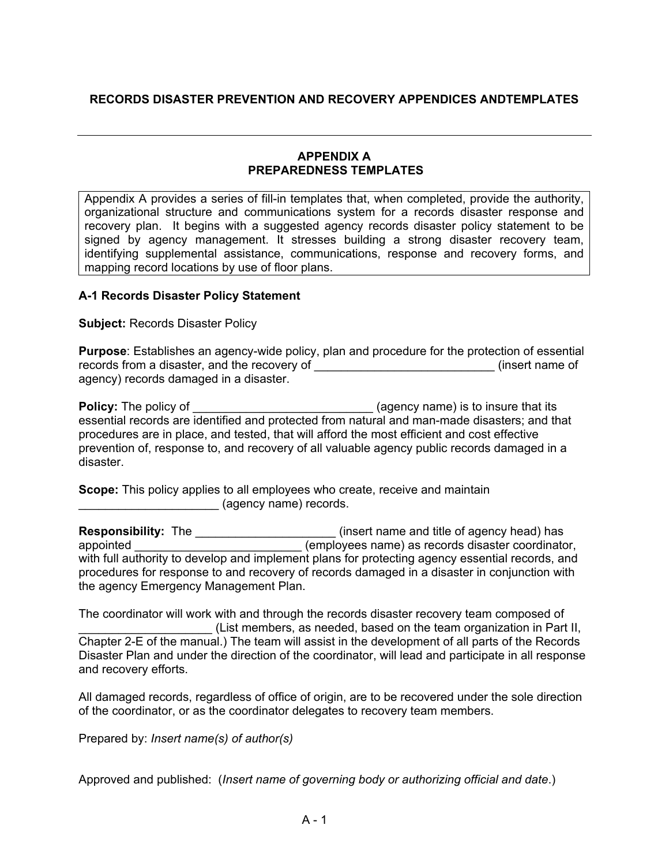# **RECORDS DISASTER PREVENTION AND RECOVERY APPENDICES ANDTEMPLATES**

### **APPENDIX A PREPAREDNESS TEMPLATES**

Appendix A provides a series of fill-in templates that, when completed, provide the authority, organizational structure and communications system for a records disaster response and recovery plan. It begins with a suggested agency records disaster policy statement to be signed by agency management. It stresses building a strong disaster recovery team, identifying supplemental assistance, communications, response and recovery forms, and mapping record locations by use of floor plans.

# **A-1 Records Disaster Policy Statement**

# **Subject:** Records Disaster Policy

**Purpose**: Establishes an agency-wide policy, plan and procedure for the protection of essential records from a disaster, and the recovery of \_\_\_\_\_\_\_\_\_\_\_\_\_\_\_\_\_\_\_\_\_\_\_\_\_\_\_\_\_\_\_\_(insert name of agency) records damaged in a disaster.

**Policy:** The policy of \_\_\_\_\_\_\_\_\_\_\_\_\_\_\_\_\_\_\_\_\_\_\_\_\_\_\_\_\_\_(agency name) is to insure that its essential records are identified and protected from natural and man-made disasters; and that procedures are in place, and tested, that will afford the most efficient and cost effective prevention of, response to, and recovery of all valuable agency public records damaged in a disaster.

**Scope:** This policy applies to all employees who create, receive and maintain \_\_\_\_\_\_\_\_\_\_\_\_\_\_\_\_\_\_\_\_\_ (agency name) records.

**Responsibility:** The \_\_\_\_\_\_\_\_\_\_\_\_\_\_\_\_\_\_\_\_\_\_\_\_(insert name and title of agency head) has appointed \_\_\_\_\_\_\_\_\_\_\_\_\_\_\_\_\_\_\_\_\_\_\_\_\_ (employees name) as records disaster coordinator, with full authority to develop and implement plans for protecting agency essential records, and procedures for response to and recovery of records damaged in a disaster in conjunction with the agency Emergency Management Plan.

The coordinator will work with and through the records disaster recovery team composed of (List members, as needed, based on the team organization in Part II, Chapter 2-E of the manual.) The team will assist in the development of all parts of the Records Disaster Plan and under the direction of the coordinator, will lead and participate in all response and recovery efforts.

All damaged records, regardless of office of origin, are to be recovered under the sole direction of the coordinator, or as the coordinator delegates to recovery team members.

Prepared by: *Insert name(s) of author(s)*

Approved and published: (*Insert name of governing body or authorizing official and date*.)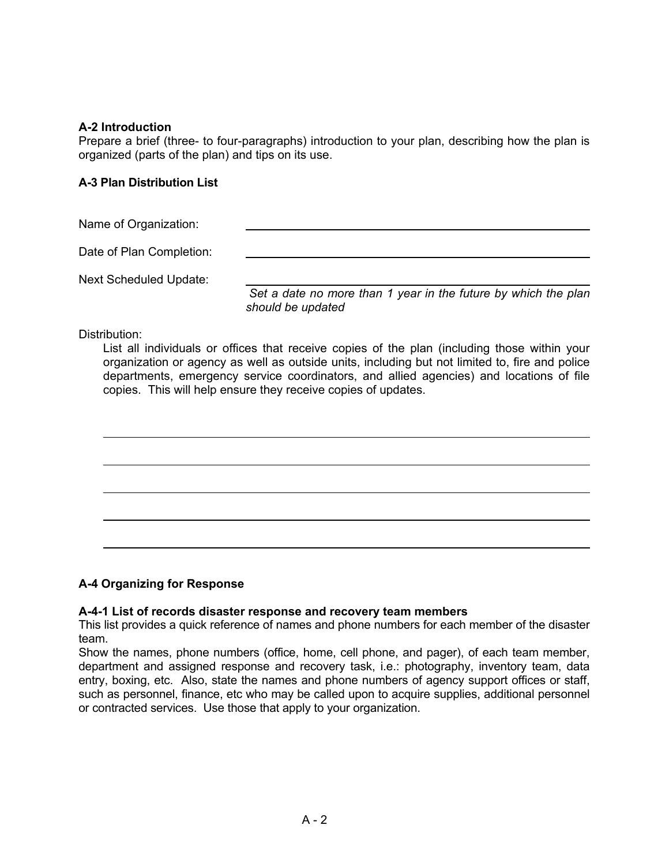# **A-2 Introduction**

Prepare a brief (three- to four-paragraphs) introduction to your plan, describing how the plan is organized (parts of the plan) and tips on its use.

# **A-3 Plan Distribution List**

Name of Organization:

Date of Plan Completion:

Next Scheduled Update:

 *Set a date no more than 1 year in the future by which the plan should be updated*

Distribution:

List all individuals or offices that receive copies of the plan (including those within your organization or agency as well as outside units, including but not limited to, fire and police departments, emergency service coordinators, and allied agencies) and locations of file copies. This will help ensure they receive copies of updates.



#### **A-4 Organizing for Response**

#### **A-4-1 List of records disaster response and recovery team members**

This list provides a quick reference of names and phone numbers for each member of the disaster team.

Show the names, phone numbers (office, home, cell phone, and pager), of each team member, department and assigned response and recovery task, i.e.: photography, inventory team, data entry, boxing, etc. Also, state the names and phone numbers of agency support offices or staff, such as personnel, finance, etc who may be called upon to acquire supplies, additional personnel or contracted services. Use those that apply to your organization.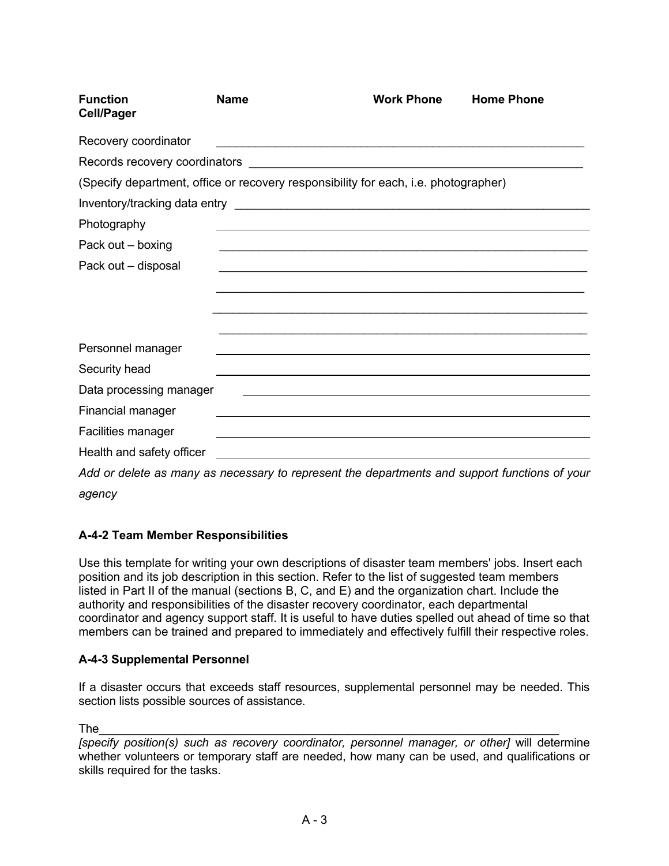| <b>Function</b><br><b>Cell/Pager</b>                                                                   | <b>Name</b> | <b>Work Phone</b>                                                                                                     | <b>Home Phone</b> |
|--------------------------------------------------------------------------------------------------------|-------------|-----------------------------------------------------------------------------------------------------------------------|-------------------|
| Recovery coordinator                                                                                   |             |                                                                                                                       |                   |
|                                                                                                        |             |                                                                                                                       |                   |
| (Specify department, office or recovery responsibility for each, i.e. photographer)                    |             |                                                                                                                       |                   |
|                                                                                                        |             |                                                                                                                       |                   |
| Photography                                                                                            |             |                                                                                                                       |                   |
| Pack out - boxing                                                                                      |             | <u> 1990 - Johann Stoff, Amerikaansk politiker (d. 1990)</u>                                                          |                   |
| Pack out - disposal                                                                                    |             |                                                                                                                       |                   |
|                                                                                                        |             |                                                                                                                       |                   |
|                                                                                                        |             |                                                                                                                       |                   |
|                                                                                                        |             |                                                                                                                       |                   |
| Personnel manager                                                                                      |             | <u> 1989 - Johann Stoff, deutscher Stoff, der Stoff, der Stoff, der Stoff, der Stoff, der Stoff, der Stoff, der S</u> |                   |
| Security head                                                                                          |             |                                                                                                                       |                   |
| Data processing manager                                                                                |             | <u> 1980 - Johann Barbara, martxa amerikan bashkar (</u>                                                              |                   |
| Financial manager                                                                                      |             |                                                                                                                       |                   |
| Facilities manager                                                                                     |             |                                                                                                                       |                   |
| Health and safety officer                                                                              |             | <u> 1989 - John Stein, Amerikaansk politiker (* 1989)</u>                                                             |                   |
| And an elected as money as moses consumed to money and the elemention and announced functions of usual |             |                                                                                                                       |                   |

*Add or delete as many as necessary to represent the departments and support functions of your agency* 

# **A-4-2 Team Member Responsibilities**

Use this template for writing your own descriptions of disaster team members' jobs. Insert each position and its job description in this section. Refer to the list of suggested team members listed in Part II of the manual (sections B, C, and E) and the organization chart. Include the authority and responsibilities of the disaster recovery coordinator, each departmental coordinator and agency support staff. It is useful to have duties spelled out ahead of time so that members can be trained and prepared to immediately and effectively fulfill their respective roles.

# **A-4-3 Supplemental Personnel**

If a disaster occurs that exceeds staff resources, supplemental personnel may be needed. This section lists possible sources of assistance.

The\_\_\_\_\_\_\_\_\_\_\_\_\_\_\_\_\_\_\_\_\_\_\_\_\_\_\_\_\_\_\_\_\_\_\_\_\_\_\_\_\_\_\_\_\_\_\_\_\_\_\_\_\_\_\_\_\_\_\_\_\_\_\_\_\_\_\_\_\_\_

*[specify position(s) such as recovery coordinator, personnel manager, or other]* will determine whether volunteers or temporary staff are needed, how many can be used, and qualifications or skills required for the tasks.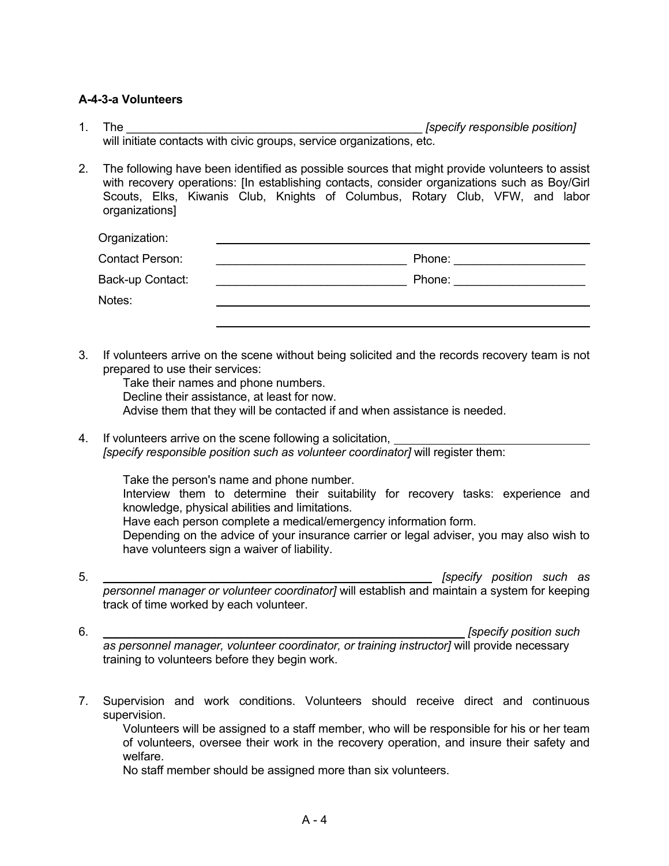# **A-4-3-a Volunteers**

- 1. The **the substitution of the set of the set of the set of the set of the set of the set of the set of the set of the set of the set of the set of the set of the set of the set of the set of the set of the set of the set** will initiate contacts with civic groups, service organizations, etc.
- 2. The following have been identified as possible sources that might provide volunteers to assist with recovery operations: [In establishing contacts, consider organizations such as Boy/Girl Scouts, Elks, Kiwanis Club, Knights of Columbus, Rotary Club, VFW, and labor organizations]

| Organization:          |        |
|------------------------|--------|
| <b>Contact Person:</b> | Phone: |
| Back-up Contact:       | Phone: |
| Notes:                 |        |
|                        |        |

3. If volunteers arrive on the scene without being solicited and the records recovery team is not prepared to use their services:

 Take their names and phone numbers. Decline their assistance, at least for now. Advise them that they will be contacted if and when assistance is needed.

4. If volunteers arrive on the scene following a solicitation, *[specify responsible position such as volunteer coordinator]* will register them:

Take the person's name and phone number.

 Interview them to determine their suitability for recovery tasks: experience and knowledge, physical abilities and limitations.

Have each person complete a medical/emergency information form.

 Depending on the advice of your insurance carrier or legal adviser, you may also wish to have volunteers sign a waiver of liability.

- 5. \_\_\_\_\_\_\_\_\_\_\_\_\_\_\_\_\_\_\_\_\_\_\_\_\_\_\_\_\_\_\_\_\_\_\_\_\_\_\_\_\_\_\_\_\_\_\_\_\_\_ *[specify position such as personnel manager or volunteer coordinator]* will establish and maintain a system for keeping track of time worked by each volunteer.
- 6. \_\_\_\_\_\_\_\_\_\_\_\_\_\_\_\_\_\_\_\_\_\_\_\_\_\_\_\_\_\_\_\_\_\_\_\_\_\_\_\_\_\_\_\_\_\_\_\_\_\_\_\_\_\_\_ *[specify position such as personnel manager, volunteer coordinator, or training instructor]* will provide necessary

training to volunteers before they begin work.

7. Supervision and work conditions. Volunteers should receive direct and continuous supervision.

 Volunteers will be assigned to a staff member, who will be responsible for his or her team of volunteers, oversee their work in the recovery operation, and insure their safety and welfare.

No staff member should be assigned more than six volunteers.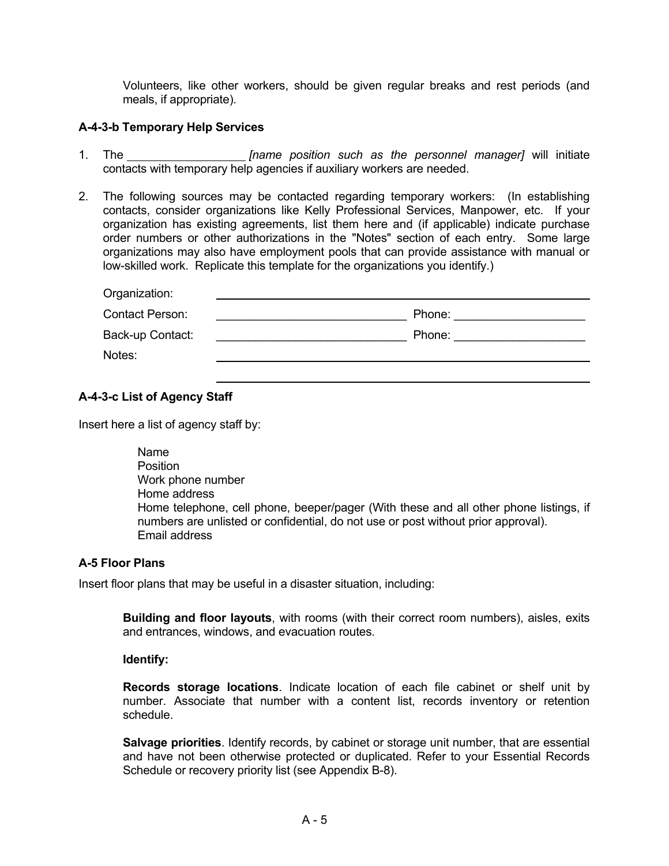Volunteers, like other workers, should be given regular breaks and rest periods (and meals, if appropriate).

# **A-4-3-b Temporary Help Services**

- 1. The *[name position such as the personnel manager]* will initiate contacts with temporary help agencies if auxiliary workers are needed.
- 2. The following sources may be contacted regarding temporary workers: (In establishing contacts, consider organizations like Kelly Professional Services, Manpower, etc. If your organization has existing agreements, list them here and (if applicable) indicate purchase order numbers or other authorizations in the "Notes" section of each entry. Some large organizations may also have employment pools that can provide assistance with manual or low-skilled work. Replicate this template for the organizations you identify.)

| Organization:          |        |
|------------------------|--------|
| <b>Contact Person:</b> | Phone: |
| Back-up Contact:       | Phone: |
| Notes:                 |        |
|                        |        |

# **A-4-3-c List of Agency Staff**

Insert here a list of agency staff by:

| Name                                                                                                                                                                                        |
|---------------------------------------------------------------------------------------------------------------------------------------------------------------------------------------------|
| <b>Position</b>                                                                                                                                                                             |
| Work phone number                                                                                                                                                                           |
| Home address                                                                                                                                                                                |
| Home telephone, cell phone, beeper/pager (With these and all other phone listings, if<br>numbers are unlisted or confidential, do not use or post without prior approval).<br>Email address |

# **A-5 Floor Plans**

Insert floor plans that may be useful in a disaster situation, including:

 **Building and floor layouts**, with rooms (with their correct room numbers), aisles, exits and entrances, windows, and evacuation routes.

#### **Identify:**

 **Records storage locations**. Indicate location of each file cabinet or shelf unit by number. Associate that number with a content list, records inventory or retention schedule.

 **Salvage priorities**. Identify records, by cabinet or storage unit number, that are essential and have not been otherwise protected or duplicated. Refer to your Essential Records Schedule or recovery priority list (see Appendix B-8).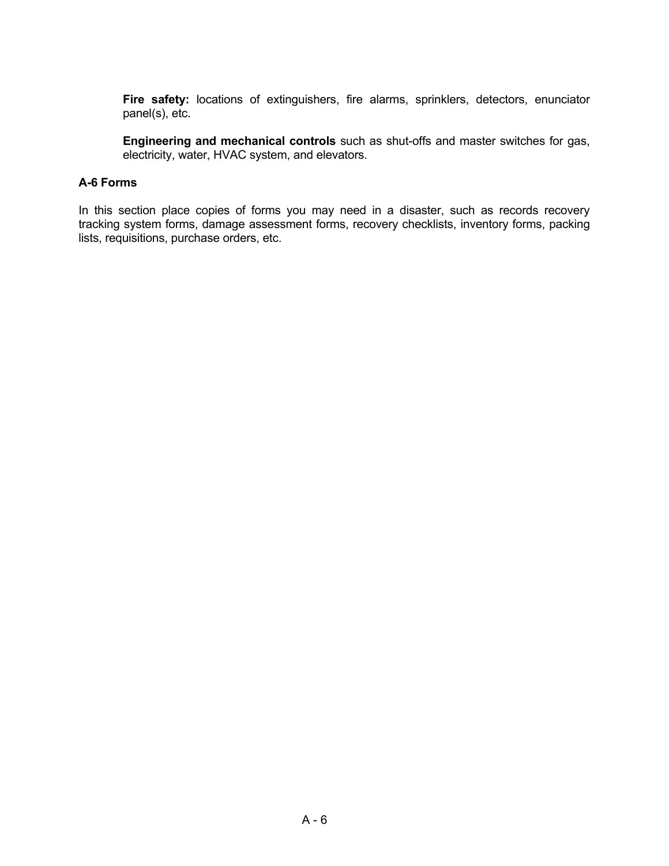**Fire safety:** locations of extinguishers, fire alarms, sprinklers, detectors, enunciator panel(s), etc.

 **Engineering and mechanical controls** such as shut-offs and master switches for gas, electricity, water, HVAC system, and elevators.

### **A-6 Forms**

In this section place copies of forms you may need in a disaster, such as records recovery tracking system forms, damage assessment forms, recovery checklists, inventory forms, packing lists, requisitions, purchase orders, etc.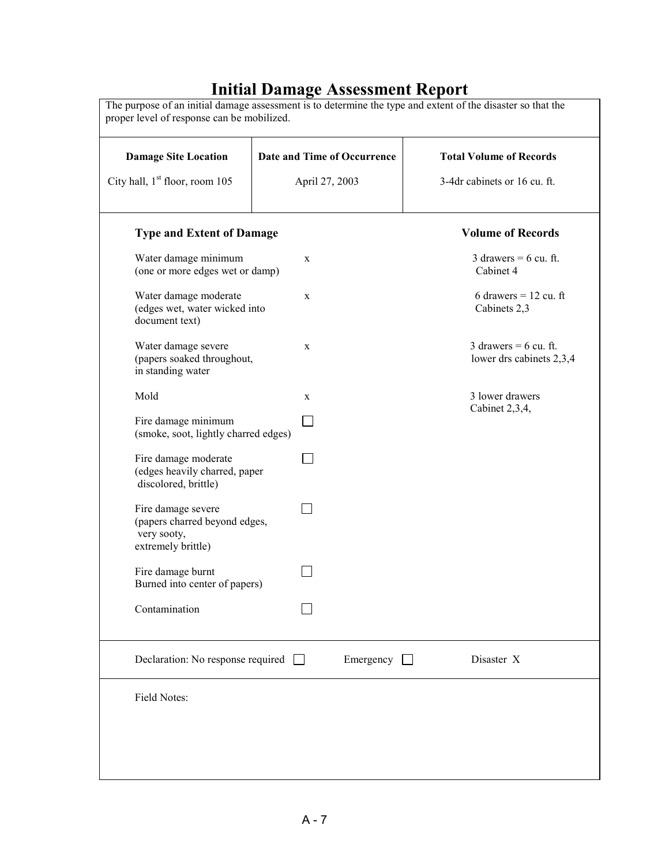# **Initial Damage Assessment Report**

| <b>Damage Site Location</b>                                                              | Date and Time of Occurrence | <b>Total Volume of Records</b>                      |
|------------------------------------------------------------------------------------------|-----------------------------|-----------------------------------------------------|
| City hall, 1 <sup>st</sup> floor, room 105                                               | April 27, 2003              | 3-4dr cabinets or 16 cu. ft.                        |
| <b>Type and Extent of Damage</b>                                                         |                             | <b>Volume of Records</b>                            |
| Water damage minimum<br>(one or more edges wet or damp)                                  | X                           | 3 drawers = $6$ cu. ft.<br>Cabinet 4                |
| Water damage moderate<br>(edges wet, water wicked into<br>document text)                 | $\mathbf X$                 | 6 drawers = $12$ cu. ft<br>Cabinets 2,3             |
| Water damage severe<br>(papers soaked throughout,<br>in standing water                   | $\mathbf X$                 | 3 drawers = $6$ cu. ft.<br>lower drs cabinets 2,3,4 |
| Mold                                                                                     | X                           | 3 lower drawers<br>Cabinet 2,3,4,                   |
| Fire damage minimum<br>(smoke, soot, lightly charred edges)                              |                             |                                                     |
| Fire damage moderate<br>(edges heavily charred, paper<br>discolored, brittle)            |                             |                                                     |
| Fire damage severe<br>(papers charred beyond edges,<br>very sooty,<br>extremely brittle) |                             |                                                     |
| Fire damage burnt<br>Burned into center of papers)                                       |                             |                                                     |
| Contamination                                                                            |                             |                                                     |
| Declaration: No response required                                                        | Emergency                   | Disaster X                                          |
| Field Notes:                                                                             |                             |                                                     |
|                                                                                          |                             |                                                     |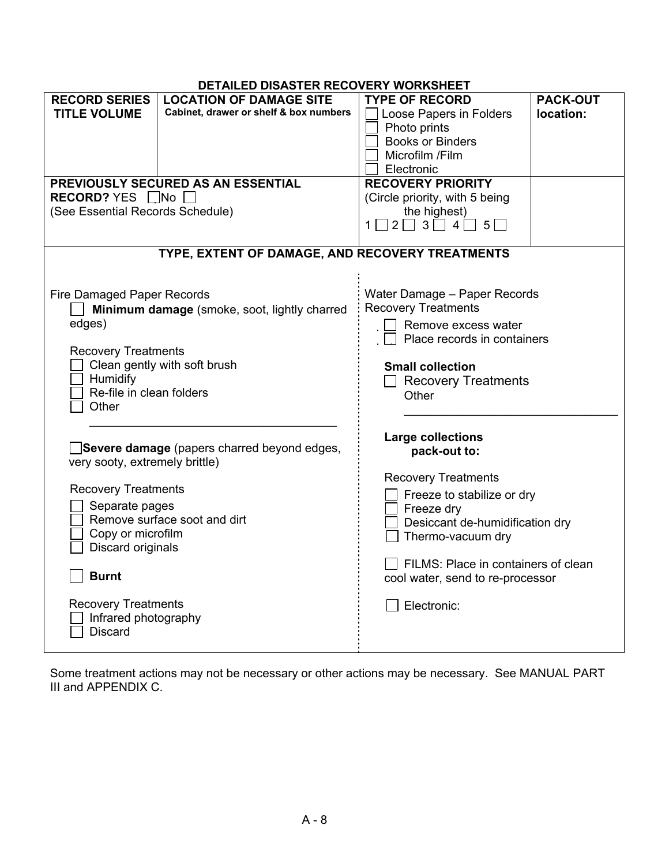# **DETAILED DISASTER RECOVERY WORKSHEET**

|                                   | DETAILLD DIJAJTEN NEUUVENT WUNNJITEET           |                                                     |                 |
|-----------------------------------|-------------------------------------------------|-----------------------------------------------------|-----------------|
| <b>RECORD SERIES</b>              | <b>LOCATION OF DAMAGE SITE</b>                  | <b>TYPE OF RECORD</b>                               | <b>PACK-OUT</b> |
| <b>TITLE VOLUME</b>               | Cabinet, drawer or shelf & box numbers          | Loose Papers in Folders                             | location:       |
|                                   |                                                 |                                                     |                 |
|                                   |                                                 | Photo prints                                        |                 |
|                                   |                                                 | <b>Books or Binders</b>                             |                 |
|                                   |                                                 | Microfilm /Film                                     |                 |
|                                   |                                                 | Electronic                                          |                 |
|                                   |                                                 |                                                     |                 |
|                                   | PREVIOUSLY SECURED AS AN ESSENTIAL              | <b>RECOVERY PRIORITY</b>                            |                 |
| RECORD? YES No                    |                                                 | (Circle priority, with 5 being                      |                 |
| (See Essential Records Schedule)  |                                                 | the highest)                                        |                 |
|                                   |                                                 | $1 \square 2 \square 3 \square 4 \square 5 \square$ |                 |
|                                   |                                                 |                                                     |                 |
|                                   |                                                 |                                                     |                 |
|                                   | TYPE, EXTENT OF DAMAGE, AND RECOVERY TREATMENTS |                                                     |                 |
|                                   |                                                 |                                                     |                 |
|                                   |                                                 |                                                     |                 |
| <b>Fire Damaged Paper Records</b> |                                                 | Water Damage - Paper Records                        |                 |
|                                   |                                                 |                                                     |                 |
|                                   | Minimum damage (smoke, soot, lightly charred    | <b>Recovery Treatments</b>                          |                 |
| edges)                            |                                                 | Remove excess water                                 |                 |
|                                   |                                                 | Place records in containers                         |                 |
|                                   |                                                 |                                                     |                 |
| <b>Recovery Treatments</b>        |                                                 |                                                     |                 |
|                                   | Clean gently with soft brush                    | <b>Small collection</b>                             |                 |
| Humidify                          |                                                 | <b>Recovery Treatments</b>                          |                 |
| Re-file in clean folders          |                                                 | Other                                               |                 |
| Other                             |                                                 |                                                     |                 |
|                                   |                                                 |                                                     |                 |
|                                   |                                                 |                                                     |                 |
|                                   |                                                 | <b>Large collections</b>                            |                 |
|                                   | Severe damage (papers charred beyond edges,     | pack-out to:                                        |                 |
| very sooty, extremely brittle)    |                                                 |                                                     |                 |
|                                   |                                                 |                                                     |                 |
|                                   |                                                 | <b>Recovery Treatments</b>                          |                 |
| <b>Recovery Treatments</b>        |                                                 | Freeze to stabilize or dry                          |                 |
| Separate pages                    |                                                 | Freeze dry                                          |                 |
|                                   | Remove surface soot and dirt                    |                                                     |                 |
|                                   |                                                 | Desiccant de-humidification dry                     |                 |
| Copy or microfilm                 |                                                 | Thermo-vacuum dry                                   |                 |
| Discard originals                 |                                                 |                                                     |                 |
|                                   |                                                 | FILMS: Place in containers of clean                 |                 |
| <b>Burnt</b>                      |                                                 | cool water, send to re-processor                    |                 |
|                                   |                                                 |                                                     |                 |
|                                   |                                                 |                                                     |                 |
| <b>Recovery Treatments</b>        |                                                 | Electronic:                                         |                 |
| Infrared photography              |                                                 |                                                     |                 |
| <b>Discard</b>                    |                                                 |                                                     |                 |
|                                   |                                                 |                                                     |                 |
|                                   |                                                 |                                                     |                 |

Some treatment actions may not be necessary or other actions may be necessary. See MANUAL PART III and APPENDIX C.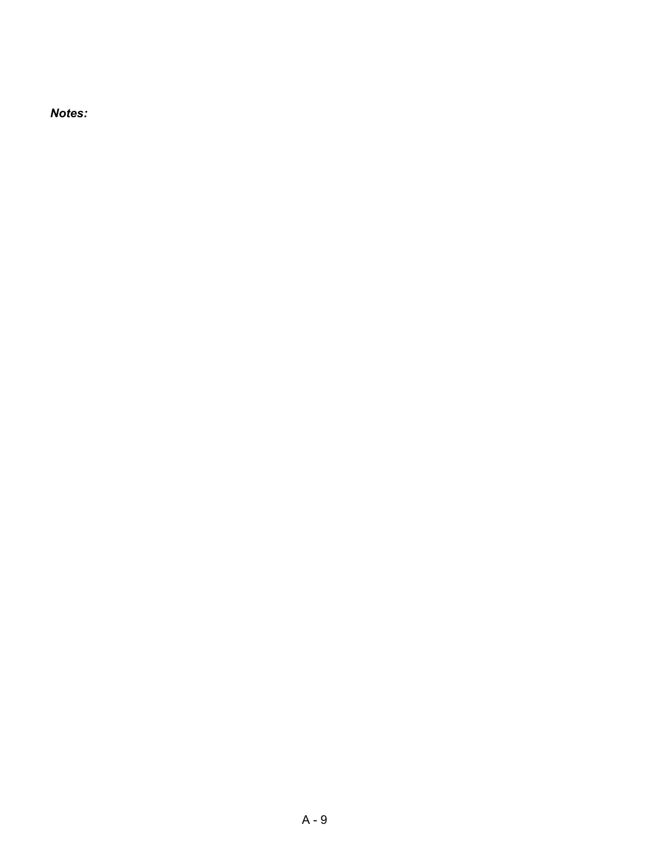*Notes:*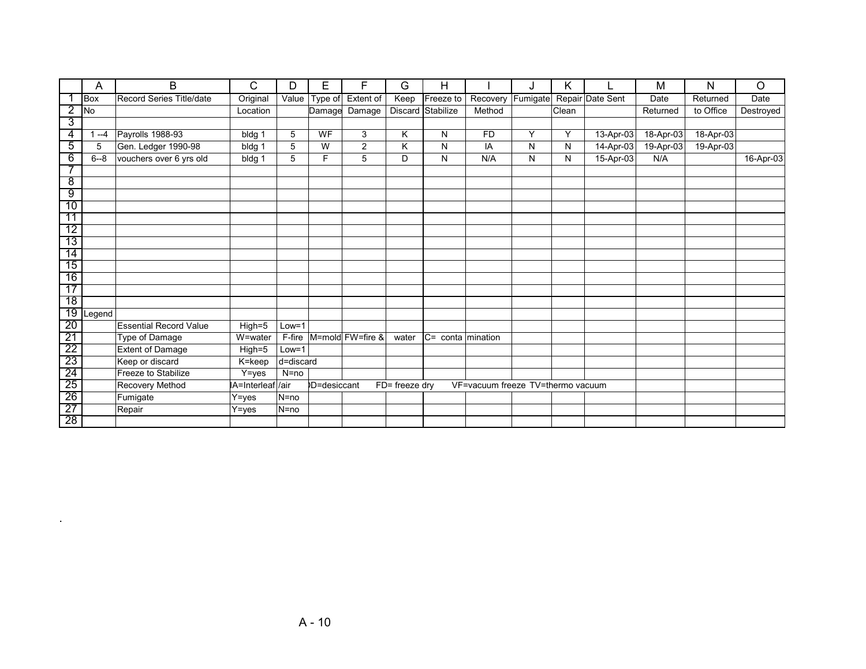|                 | A          | B                             | C                | D         | Е           | F                | G                          | H                    |                                   | J        | Κ     |                  | M         | N         | O         |
|-----------------|------------|-------------------------------|------------------|-----------|-------------|------------------|----------------------------|----------------------|-----------------------------------|----------|-------|------------------|-----------|-----------|-----------|
|                 | <b>Box</b> | Record Series Title/date      | Original         | Value     | Type of     | Extent of        | Keep                       | Freeze to            | Recovery                          | Fumigate |       | Repair Date Sent | Date      | Returned  | Date      |
| 2               | <b>No</b>  |                               | Location         |           |             | Damage Damage    |                            | Discard Stabilize    | Method                            |          | Clean |                  | Returned  | to Office | Destroyed |
| 3               |            |                               |                  |           |             |                  |                            |                      |                                   |          |       |                  |           |           |           |
| 4               | $-4$       | Payrolls 1988-93              | bldg 1           | 5         | WF          | 3                | ĸ                          | N                    | <b>FD</b>                         | Y        | Y     | 13-Apr-03        | 18-Apr-03 | 18-Apr-03 |           |
| 5               | 5          | Gen. Ledger 1990-98           | bldg 1           | 5         | W           | $\overline{2}$   | K                          | N                    | IA                                | N        | N     | 14-Apr-03        | 19-Apr-03 | 19-Apr-03 |           |
| 6               | $6 - 8$    | vouchers over 6 yrs old       | bldg 1           | 5         | F           | 5                | D                          | N                    | N/A                               | N        | N     | 15-Apr-03        | N/A       |           | 16-Apr-03 |
| 7               |            |                               |                  |           |             |                  |                            |                      |                                   |          |       |                  |           |           |           |
| $\overline{8}$  |            |                               |                  |           |             |                  |                            |                      |                                   |          |       |                  |           |           |           |
| 9               |            |                               |                  |           |             |                  |                            |                      |                                   |          |       |                  |           |           |           |
| 10              |            |                               |                  |           |             |                  |                            |                      |                                   |          |       |                  |           |           |           |
| 11              |            |                               |                  |           |             |                  |                            |                      |                                   |          |       |                  |           |           |           |
| 12              |            |                               |                  |           |             |                  |                            |                      |                                   |          |       |                  |           |           |           |
| $\overline{13}$ |            |                               |                  |           |             |                  |                            |                      |                                   |          |       |                  |           |           |           |
| $\overline{14}$ |            |                               |                  |           |             |                  |                            |                      |                                   |          |       |                  |           |           |           |
| $\overline{15}$ |            |                               |                  |           |             |                  |                            |                      |                                   |          |       |                  |           |           |           |
| 16              |            |                               |                  |           |             |                  |                            |                      |                                   |          |       |                  |           |           |           |
| 17              |            |                               |                  |           |             |                  |                            |                      |                                   |          |       |                  |           |           |           |
| 18              |            |                               |                  |           |             |                  |                            |                      |                                   |          |       |                  |           |           |           |
| 19              | _egend     |                               |                  |           |             |                  |                            |                      |                                   |          |       |                  |           |           |           |
| 20              |            | <b>Essential Record Value</b> | $High=5$         | $Low = 1$ |             |                  |                            |                      |                                   |          |       |                  |           |           |           |
| $\overline{21}$ |            | Type of Damage                | W=water          | F-fire    |             | M=mold FW=fire & | water                      | $ C=$ conta mination |                                   |          |       |                  |           |           |           |
| $\overline{22}$ |            | <b>Extent of Damage</b>       | $High=5$         | $Low = 1$ |             |                  |                            |                      |                                   |          |       |                  |           |           |           |
| 23              |            | Keep or discard               | K=keep           | d=discard |             |                  |                            |                      |                                   |          |       |                  |           |           |           |
| 24              |            | Freeze to Stabilize           | $Y = yes$        | $N = no$  |             |                  |                            |                      |                                   |          |       |                  |           |           |           |
| 25              |            | <b>Recovery Method</b>        | A=Interleafl/air |           | D=desiccant |                  | $\overline{FD}$ freeze dry |                      | VF=vacuum freeze TV=thermo vacuum |          |       |                  |           |           |           |
| $\overline{26}$ |            | Fumigate                      | Y=yes            | $N = no$  |             |                  |                            |                      |                                   |          |       |                  |           |           |           |
| $\overline{27}$ |            | Repair                        | Y=yes            | $N = no$  |             |                  |                            |                      |                                   |          |       |                  |           |           |           |
| 28              |            |                               |                  |           |             |                  |                            |                      |                                   |          |       |                  |           |           |           |

.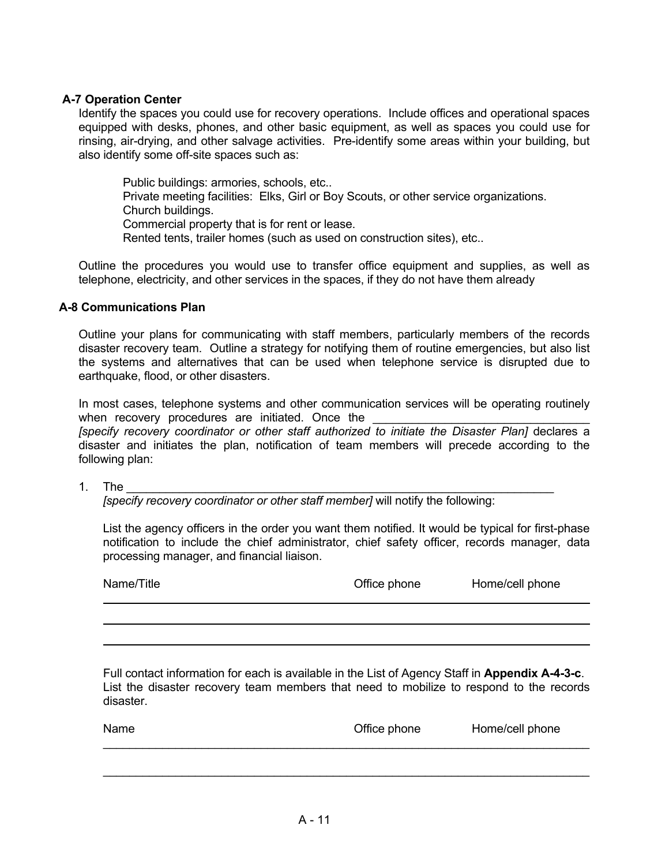# **A-7 Operation Center**

Identify the spaces you could use for recovery operations. Include offices and operational spaces equipped with desks, phones, and other basic equipment, as well as spaces you could use for rinsing, air-drying, and other salvage activities. Pre-identify some areas within your building, but also identify some off-site spaces such as:

Public buildings: armories, schools, etc... Private meeting facilities: Elks, Girl or Boy Scouts, or other service organizations. Church buildings. Commercial property that is for rent or lease. Rented tents, trailer homes (such as used on construction sites), etc..

Outline the procedures you would use to transfer office equipment and supplies, as well as telephone, electricity, and other services in the spaces, if they do not have them already

# **A-8 Communications Plan**

Outline your plans for communicating with staff members, particularly members of the records disaster recovery team. Outline a strategy for notifying them of routine emergencies, but also list the systems and alternatives that can be used when telephone service is disrupted due to earthquake, flood, or other disasters.

In most cases, telephone systems and other communication services will be operating routinely when recovery procedures are initiated. Once the *[specify recovery coordinator or other staff authorized to initiate the Disaster Plan]* declares a disaster and initiates the plan, notification of team members will precede according to the following plan:

1. The

*[specify recovery coordinator or other staff member]* will notify the following:

 List the agency officers in the order you want them notified. It would be typical for first-phase notification to include the chief administrator, chief safety officer, records manager, data processing manager, and financial liaison.

| Name/Title | Office phone | Home/cell phone |
|------------|--------------|-----------------|
|            |              |                 |

 Full contact information for each is available in the List of Agency Staff in **Appendix A-4-3-c**. List the disaster recovery team members that need to mobilize to respond to the records disaster.

| <b>Name</b> | Office phone | Home/cell phone |
|-------------|--------------|-----------------|
|             |              |                 |